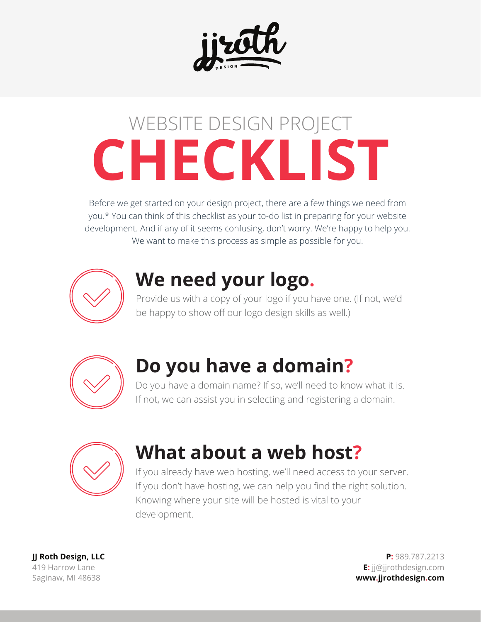

# **CHECKLIST** WEBSITE DESIGN PROJECT

Before we get started on your design project, there are a few things we need from you.\* You can think of this checklist as your to-do list in preparing for your website development. And if any of it seems confusing, don't worry. We're happy to help you. We want to make this process as simple as possible for you.



#### **We need your logo.**

Provide us with a copy of your logo if you have one. (If not, we'd be happy to show off our logo design skills as well.)



### **Do you have a domain?**

Do you have a domain name? If so, we'll need to know what it is. If not, we can assist you in selecting and registering a domain.



## **What about a web host?**

If you already have web hosting, we'll need access to your server. If you don't have hosting, we can help you find the right solution. Knowing where your site will be hosted is vital to your development.

**JJ Roth Design, LLC** 419 Harrow Lane Saginaw, MI 48638

**P:** 989.787.2213 **E:** jj@jjrothdesign.com **www.jjrothdesign.com**